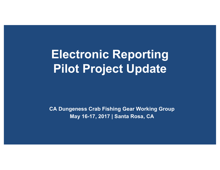# **Electronic Reporting Pilot Project Update**

**CA Dungeness Crab Fishing Gear Working Group May 16-17, 2017 | Santa Rosa, CA**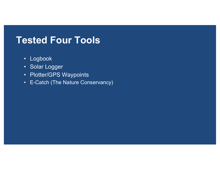#### **Tested Four Tools**

- Logbook
- Solar Logger
- Plotter/GPS Waypoints
- E-Catch (The Nature Conservancy)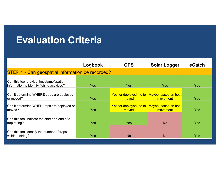## **Evaluation Criteria**

|                                                                                        | Logbook    | <b>GPS</b>                                            | <b>Solar Logger</b> | eCatch     |  |  |  |
|----------------------------------------------------------------------------------------|------------|-------------------------------------------------------|---------------------|------------|--|--|--|
| STEP 1 - Can geospatial information be recorded?                                       |            |                                                       |                     |            |  |  |  |
| Can this tool provide timestamp/spatial<br>information to identify fishing activities? | <b>Yes</b> | <b>Yes</b>                                            | Yes                 | <b>Yes</b> |  |  |  |
| Can it determine WHERE traps are deployed<br>lor moved?                                | <b>Yes</b> | Yes for deployed, no to Maybe, based on boat<br>moved | movement            | <b>Yes</b> |  |  |  |
| Can it determine WHEN traps are deployed or<br>moved?                                  | <b>Yes</b> | Yes for deployed, no to Maybe, based on boat<br>moved | movement            | <b>Yes</b> |  |  |  |
| Can this tool indicate the start and end of a<br>trap string?                          | <b>Yes</b> | <b>Yes</b>                                            | <b>No</b>           | <b>Yes</b> |  |  |  |
| Can this tool identify the number of traps<br>within a string?                         | <b>Yes</b> | <b>No</b>                                             | <b>No</b>           | <b>Yes</b> |  |  |  |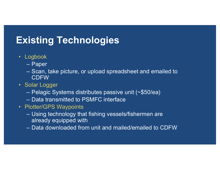## **Existing Technologies**

- Logbook
	- Paper
	- Scan, take picture, or upload spreadsheet and emailed to CDFW
- Solar Logger
	- Pelagic Systems distributes passive unit (~\$50/ea)
	- Data transmitted to PSMFC interface
- Plotter/GPS Waypoints
	- Using technology that fishing vessels/fishermen are already equipped with
	- Data downloaded from unit and mailed/emailed to CDFW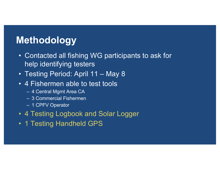## **Methodology**

- Contacted all fishing WG participants to ask for help identifying testers
- Testing Period: April 11 May 8
- 4 Fishermen able to test tools
	- 4 Central Mgmt Area CA
	- 3 Commercial Fishermen
	- 1 CPFV Operator
- 4 Testing Logbook and Solar Logger
- 1 Testing Handheld GPS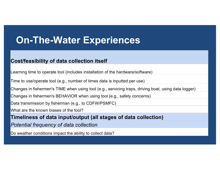## **On-The-Water Experiences**

#### **Cost/feasibility of data collection itself**

Learning time to operate tool (includes installation of the hardware/software)

Time to use/operate tool (e.g., number of times data is inputted per use)

Changes in fishermen's TIME when using tool (e.g., servicing traps, driving boat, using data logger)

Changes in fishermen's BEHAVIOR when using tool (e.g., safety concerns)

Data transmission by fisherman (e.g., to CDFW/PSMFC)

What are the known biases of the tool?

**Timeliness of data input/output (all stages of data collection)**

*Potential frequency of data collection*

Do weather conditions impact the ability to collect data?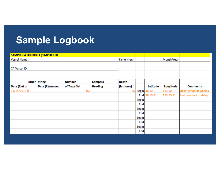## **Sample Logbook**

| <b>SAMPLE CA LOGBOOK (SIMPLIFIED)</b> |                |               |                |              |              |              |             |                         |
|---------------------------------------|----------------|---------------|----------------|--------------|--------------|--------------|-------------|-------------------------|
| <b>Vessel Name:</b>                   |                |               |                | Fishermen:   |              |              | Month/Year: |                         |
|                                       |                |               |                |              |              |              |             |                         |
| CA Vessel ID:                         |                |               |                |              |              |              |             |                         |
|                                       |                |               |                |              |              |              |             |                         |
|                                       |                |               |                |              |              |              |             |                         |
| <b>Either String</b>                  |                | <b>Number</b> | <b>Compass</b> | <b>Depth</b> |              |              |             |                         |
| Date (S) et or                        | Date (R)emoved | of Traps Set  | <b>Heading</b> | (fathoms)    |              | Latitude     | Longitude   | <b>Comments</b>         |
| 11/14/2016 (S)                        |                | 150           |                | 35           |              | Begin 38 10' | 123 10'     | observation of whales   |
|                                       |                |               |                |              |              | End 38 10.5' | 123 10.5'   | lost two pots in string |
|                                       |                |               |                |              | <b>Begin</b> |              |             |                         |
|                                       |                |               |                |              | End          |              |             |                         |
|                                       |                |               |                |              | <b>Begin</b> |              |             |                         |
|                                       |                |               |                |              | End          |              |             |                         |
|                                       |                |               |                |              | <b>Begin</b> |              |             |                         |
|                                       |                |               |                |              | End          |              |             |                         |
|                                       |                |               |                |              | <b>Begin</b> |              |             |                         |
|                                       |                |               |                |              | End          |              |             |                         |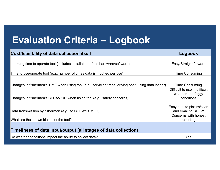## **Evaluation Criteria – Logbook**

| Cost/feasibility of data collection itself                                                           | Logbook                                        |
|------------------------------------------------------------------------------------------------------|------------------------------------------------|
|                                                                                                      |                                                |
| Learning time to operate tool (includes installation of the hardware/software)                       | Easy/Straight forward                          |
|                                                                                                      |                                                |
| Time to use/operate tool (e.g., number of times data is inputted per use)                            | <b>Time Consuming</b>                          |
|                                                                                                      |                                                |
| Changes in fishermen's TIME when using tool (e.g., servicing traps, driving boat, using data logger) | <b>Time Consuming</b>                          |
|                                                                                                      | Difficult to use in difficult                  |
|                                                                                                      | weather and foggy                              |
| Changes in fishermen's BEHAVIOR when using tool (e.g., safety concerns)                              | conditions                                     |
|                                                                                                      |                                                |
| Data transmission by fisherman (e.g., to CDFW/PSMFC)                                                 | Easy to take picture/scan<br>and email to CDFW |
|                                                                                                      | Concerns with honest                           |
| What are the known biases of the tool?                                                               | reporting                                      |
|                                                                                                      |                                                |
| Timeliness of data input/output (all stages of data collection)                                      |                                                |
| Do weather conditions impact the ability to collect data?                                            | Yes                                            |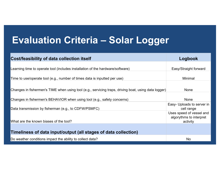## **Evaluation Criteria – Solar Logger**

| Cost/feasibility of data collection itself                                                           | Logbook                                                         |
|------------------------------------------------------------------------------------------------------|-----------------------------------------------------------------|
| Learning time to operate tool (includes installation of the hardware/software)                       | Easy/Straight forward                                           |
| Time to use/operate tool (e.g., number of times data is inputted per use)                            | Minimal                                                         |
| Changes in fishermen's TIME when using tool (e.g., servicing traps, driving boat, using data logger) | <b>None</b>                                                     |
| Changes in fishermen's BEHAVIOR when using tool (e.g., safety concerns)                              | <b>None</b>                                                     |
| Data transmission by fisherman (e.g., to CDFW/PSMFC)                                                 | Easy- Uploads to server in<br>cell range                        |
| What are the known biases of the tool?                                                               | Uses speed of vessel and<br>algorythms to interpret<br>activity |
| Timeliness of data input/output (all stages of data collection)                                      |                                                                 |
| Do weather conditions impact the ability to collect data?                                            | <b>No</b>                                                       |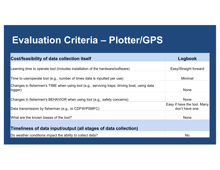## **Evaluation Criteria – Plotter/GPS**

| Logbook                     |
|-----------------------------|
|                             |
| Easy/Straight forward       |
|                             |
| Minimal                     |
|                             |
| None                        |
|                             |
| <b>None</b>                 |
| Easy if have the tool. Many |
| don't have one.             |
|                             |
| <b>None</b>                 |
|                             |
|                             |
| No                          |
|                             |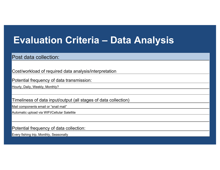## **Evaluation Criteria – Data Analysis**

#### Post data collection:

Cost/workload of required data analysis/interpretation

Potential frequency of data transmission:

Hourly, Daily, Weekly, Monthly?

Timeliness of data input/output (all stages of data collection)

Mail components email or "snail mail"

Automatic upload via WIFI/Cellular Satellite

Potential frequency of data collection:

Every fishing trip, Monthly, Seasonally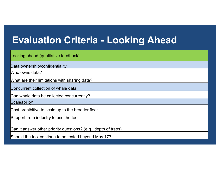## **Evaluation Criteria - Looking Ahead**

Looking ahead (qualitative feedback)

Data ownership/confidentiality

Who owns data?

What are their limitations with sharing data?

Concurrent collection of whale data

Can whale data be collected concurrently?

Scaleability\*

Cost prohibitive to scale up to the broader fleet

Support from industry to use the tool

Can it answer other priority questions? (e.g., depth of traps)

Should the tool continue to be tested beyond May 17?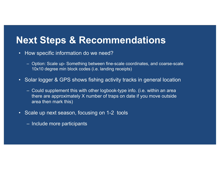#### **Next Steps & Recommendations**

- How specific information do we need?
	- Option: Scale up- Something between fine-scale coordinates, and coarse-scale 10x10 degree min block codes (i.e. landing receipts)
- Solar logger & GPS shows fishing activity tracks in general location
	- Could supplement this with other logbook-type info. (i.e. within an area there are approximately X number of traps on date if you move outside area then mark this)
- Scale up next season, focusing on 1-2 tools
	- Include more participants